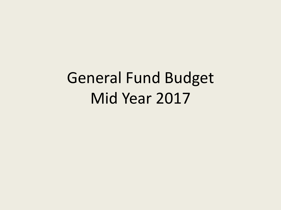# General Fund Budget Mid Year 2017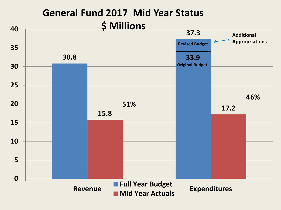## **General Fund 2017 Mid Year Status \$ Millions**

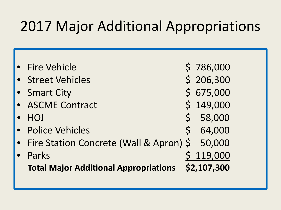# 2017 Major Additional Appropriations

| • Fire Vehicle                               |              | \$786,000   |
|----------------------------------------------|--------------|-------------|
| • Street Vehicles                            |              | \$206,300   |
| • Smart City                                 |              | \$675,000   |
| • ASCME Contract                             |              | \$149,000   |
| <b>HOJ</b>                                   | $\mathsf{S}$ | 58,000      |
| • Police Vehicles                            |              | \$64,000    |
| • Fire Station Concrete (Wall & Apron) \$    |              | 50,000      |
| Parks                                        |              | \$119,000   |
| <b>Total Major Additional Appropriations</b> |              | \$2,107,300 |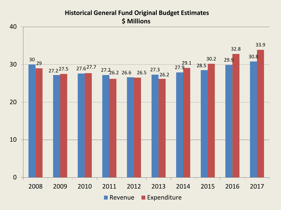#### **Historical General Fund Original Budget Estimates \$ Millions**

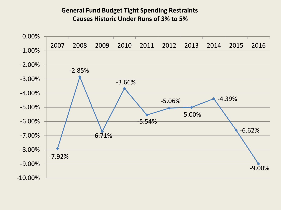#### **General Fund Budget Tight Spending Restraints Causes Historic Under Runs of 3% to 5%**

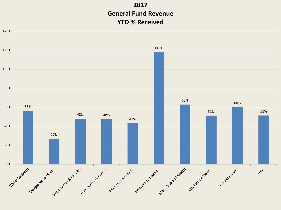#### **2017 General Fund Revenue YTD % Received**

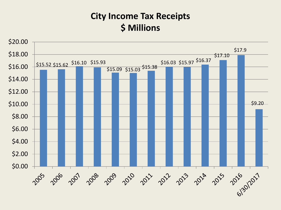## **City Income Tax Receipts \$ Millions**

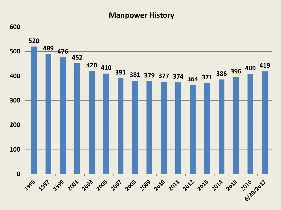#### **Manpower History**

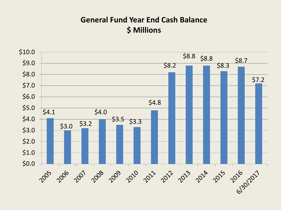#### **General Fund Year End Cash Balance \$ Millions**

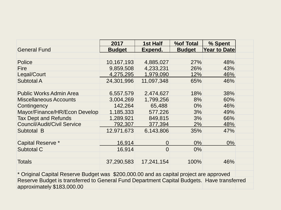|                                                                                            | 2017          | 1st Half       | <b>%of Total</b> | % Spent             |  |  |
|--------------------------------------------------------------------------------------------|---------------|----------------|------------------|---------------------|--|--|
| <b>General Fund</b>                                                                        | <b>Budget</b> | Expend.        | <b>Budget</b>    | <b>Year to Date</b> |  |  |
|                                                                                            |               |                |                  |                     |  |  |
| <b>Police</b>                                                                              | 10,167,193    | 4,885,027      | 27%              | 48%                 |  |  |
| <b>Fire</b>                                                                                | 9,859,508     | 4,233,231      | 26%              | 43%                 |  |  |
| Legal/Court                                                                                | 4,275,295     | 1,979,090      | 12%              | 46%                 |  |  |
| <b>Subtotal A</b>                                                                          | 24,301,996    | 11,097,348     | 65%              | 46%                 |  |  |
|                                                                                            |               |                |                  |                     |  |  |
| <b>Public Works Admin Area</b>                                                             | 6,557,579     | 2,474,627      | 18%              | 38%                 |  |  |
| <b>Miscellaneous Accounts</b>                                                              | 3,004,269     | 1,799,256      | 8%               | 60%                 |  |  |
| Contingency                                                                                | 142,264       | 65,488         | $0\%$            | 46%                 |  |  |
| Mayor/Finance/HR/Econ Develop                                                              | 1,185,333     | 577,226        | 3%               | 49%                 |  |  |
| <b>Tax Dept and Refunds</b>                                                                | 1,289,921     | 849,815        | 3%               | 66%                 |  |  |
| <b>Council/Audit/Civil Service</b>                                                         | 792,307       | 377,394        | 2%               | 48%                 |  |  |
| Subtotal B                                                                                 | 12,971,673    | 6,143,806      | 35%              | 47%                 |  |  |
|                                                                                            |               |                |                  |                     |  |  |
| <b>Capital Reserve *</b>                                                                   | 16,914        | 0              | $0\%$            | $0\%$               |  |  |
| Subtotal C                                                                                 | 16,914        | $\overline{0}$ | $0\%$            |                     |  |  |
|                                                                                            |               |                |                  |                     |  |  |
| <b>Totals</b>                                                                              | 37,290,583    | 17,241,154     | 100%             | 46%                 |  |  |
|                                                                                            |               |                |                  |                     |  |  |
| * Original Capital Reserve Budget was \$200,000.00 and as capital project are approved     |               |                |                  |                     |  |  |
| Reserve Budget is transferred to General Fund Department Capital Budgets. Have transferred |               |                |                  |                     |  |  |
| approximately \$183,000.00                                                                 |               |                |                  |                     |  |  |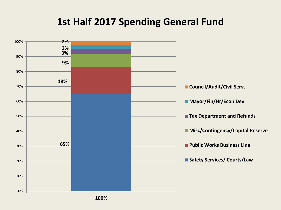## **1st Half 2017 Spending General Fund**

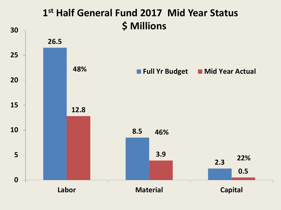## **1st Half General Fund 2017 Mid Year Status \$ Millions**

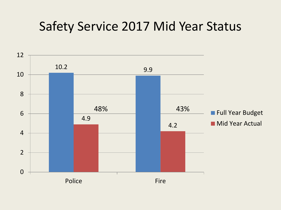# Safety Service 2017 Mid Year Status

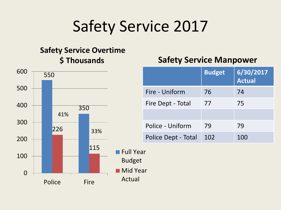# Safety Service 2017

#### **Safety Service Overtime \$ Thousands**

#### 550 350 226 115 0 100 200 300 400 500 600 Police Fire **Full Year** Budget Mid Year Actual 41% 33%

### **Safety Service Manpower**

|                     | <b>Budget</b> | 6/30/2017<br><b>Actual</b> |
|---------------------|---------------|----------------------------|
| Fire - Uniform      | 76            | 74                         |
| Fire Dept - Total   | 77            | 75                         |
|                     |               |                            |
| Police - Uniform    | 79            | 79                         |
| Police Dept - Total | 102           | 100                        |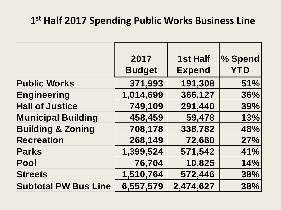## **1st Half 2017 Spending Public Works Business Line**

|                              | 2017          | <b>1st Half</b> | % Spend    |
|------------------------------|---------------|-----------------|------------|
|                              | <b>Budget</b> | <b>Expend</b>   | <b>YTD</b> |
| <b>Public Works</b>          | 371,993       | 191,308         | 51%        |
| <b>Engineering</b>           | 1,014,699     | 366,127         | 36%        |
| <b>Hall of Justice</b>       | 749,109       | 291,440         | 39%        |
| <b>Municipal Building</b>    | 458,459       | 59,478          | 13%        |
| <b>Building &amp; Zoning</b> | 708,178       | 338,782         | 48%        |
| <b>Recreation</b>            | 268,149       | 72,680          | 27%        |
| <b>Parks</b>                 | 1,399,524     | 571,542         | 41%        |
| Pool                         | 76,704        | 10,825          | 14%        |
| <b>Streets</b>               | 1,510,764     | 572,446         | 38%        |
| <b>Subtotal PW Bus Line</b>  | 6,557,579     | 2,474,627       | 38%        |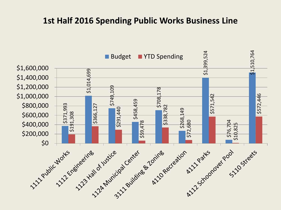#### **1st Half 2016 Spending Public Works Business Line**

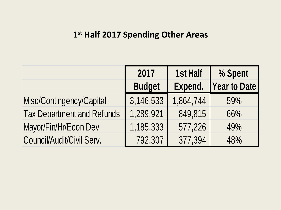### **1st Half 2017 Spending Other Areas**

|                                   | 2017          | <b>1st Half</b> | % Spent             |
|-----------------------------------|---------------|-----------------|---------------------|
|                                   | <b>Budget</b> | Expend.         | <b>Year to Date</b> |
| Misc/Contingency/Capital          | 3,146,533     | 1,864,744       | 59%                 |
| <b>Tax Department and Refunds</b> | 1,289,921     | 849,815         | 66%                 |
| Mayor/Fin/Hr/Econ Dev             | 1,185,333     | 577,226         | 49%                 |
| Council/Audit/Civil Serv.         | 792,307       | 377,394         | 48%                 |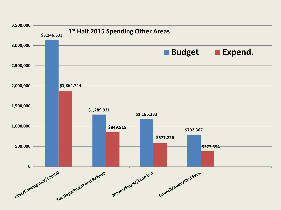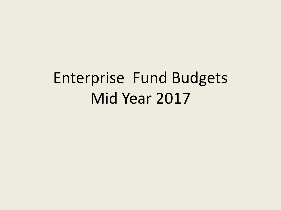# Enterprise Fund Budgets Mid Year 2017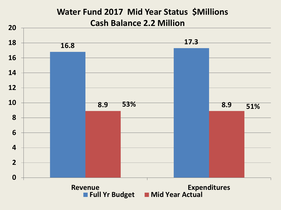### **Water Fund 2017 Mid Year Status \$Millions Cash Balance 2.2 Million**

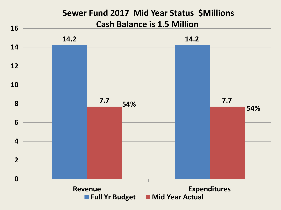#### **Sewer Fund 2017 Mid Year Status \$Millions Cash Balance is 1.5 Million**

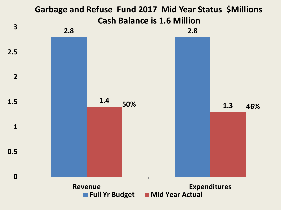### **Garbage and Refuse Fund 2017 Mid Year Status \$Millions Cash Balance is 1.6 Million**